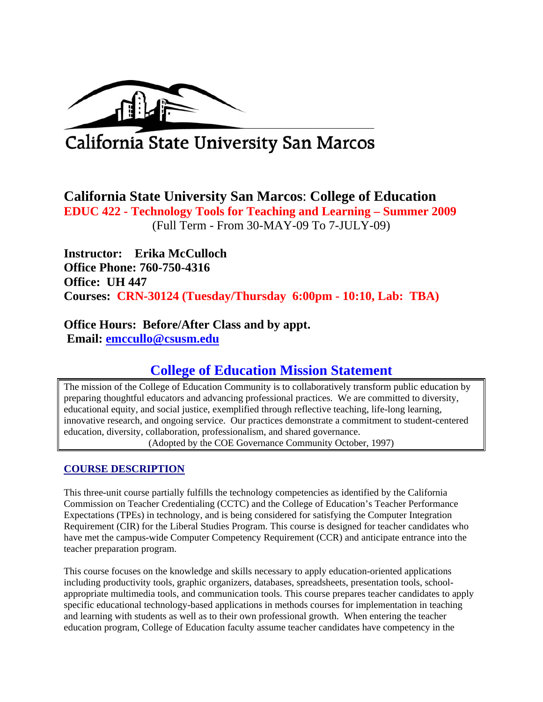

# California State University San Marcos

**California State University San Marcos**: **College of Education EDUC 422 - Technology Tools for Teaching and Learning – Summer 2009**  (Full Term - From 30-MAY-09 To 7-JULY-09)

 **Instructor: Erika McCulloch Office Phone: 760-750-4316 Office: UH 447 Courses: CRN-30124 (Tuesday/Thursday 6:00pm - 10:10, Lab: TBA)** 

# **Office Hours: Before/After Class and by appt. Email: emccullo@csusm.edu**

# **College of Education Mission Statement**

The mission of the College of Education Community is to collaboratively transform public education by preparing thoughtful educators and advancing professional practices. We are committed to diversity, educational equity, and social justice, exemplified through reflective teaching, life-long learning, innovative research, and ongoing service. Our practices demonstrate a commitment to student-centered education, diversity, collaboration, professionalism, and shared governance. (Adopted by the COE Governance Community October, 1997)

# **COURSE DESCRIPTION**

This three-unit course partially fulfills the technology competencies as identified by the California Commission on Teacher Credentialing (CCTC) and the College of Education's Teacher Performance Expectations (TPEs) in technology, and is being considered for satisfying the Computer Integration Requirement (CIR) for the Liberal Studies Program. This course is designed for teacher candidates who have met the campus-wide Computer Competency Requirement (CCR) and anticipate entrance into the teacher preparation program.

This course focuses on the knowledge and skills necessary to apply education-oriented applications including productivity tools, graphic organizers, databases, spreadsheets, presentation tools, schoolappropriate multimedia tools, and communication tools. This course prepares teacher candidates to apply specific educational technology-based applications in methods courses for implementation in teaching and learning with students as well as to their own professional growth. When entering the teacher education program, College of Education faculty assume teacher candidates have competency in the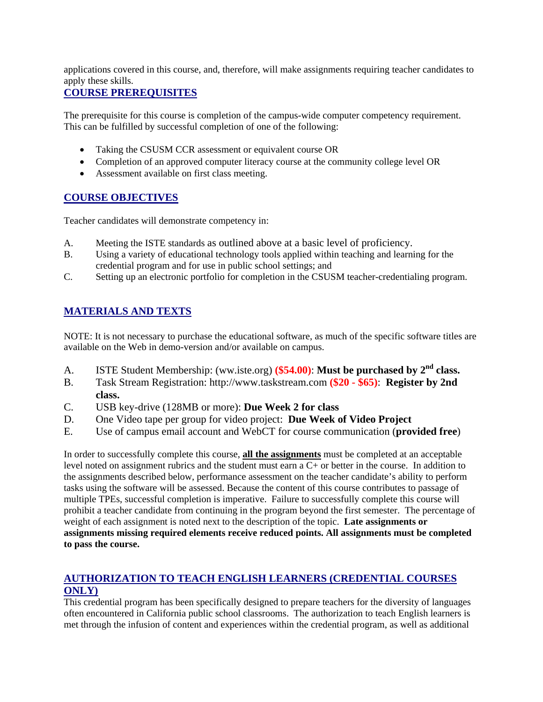applications covered in this course, and, therefore, will make assignments requiring teacher candidates to apply these skills.

## **COURSE PREREQUISITES**

The prerequisite for this course is completion of the campus-wide computer competency requirement. This can be fulfilled by successful completion of one of the following:

- Taking the CSUSM CCR assessment or equivalent course OR
- Completion of an approved computer literacy course at the community college level OR
- Assessment available on first class meeting.

# **COURSE OBJECTIVES**

Teacher candidates will demonstrate competency in:

- A. Meeting the ISTE standards as outlined above at a basic level of proficiency.
- B. Using a variety of educational technology tools applied within teaching and learning for the credential program and for use in public school settings; and
- C. Setting up an electronic portfolio for completion in the CSUSM teacher-credentialing program.

# **MATERIALS AND TEXTS**

NOTE: It is not necessary to purchase the educational software, as much of the specific software titles are available on the Web in demo-version and/or available on campus.

- A. ISTE Student Membership: (ww.iste.org) **(\$54.00)**: **Must be purchased by 2nd class.**
- B. Task Stream Registration: http://www.taskstream.com **(\$20 \$65)**: **Register by 2nd class.**
- C. USB key-drive (128MB or more): **Due Week 2 for class**
- D. One Video tape per group for video project: **Due Week of Video Project**
- E. Use of campus email account and WebCT for course communication (**provided free**)

In order to successfully complete this course, **all the assignments** must be completed at an acceptable level noted on assignment rubrics and the student must earn a C+ or better in the course. In addition to the assignments described below, performance assessment on the teacher candidate's ability to perform tasks using the software will be assessed. Because the content of this course contributes to passage of multiple TPEs, successful completion is imperative. Failure to successfully complete this course will prohibit a teacher candidate from continuing in the program beyond the first semester. The percentage of weight of each assignment is noted next to the description of the topic. **Late assignments or assignments missing required elements receive reduced points. All assignments must be completed to pass the course.** 

# **AUTHORIZATION TO TEACH ENGLISH LEARNERS (CREDENTIAL COURSES ONLY)**

This credential program has been specifically designed to prepare teachers for the diversity of languages often encountered in California public school classrooms. The authorization to teach English learners is met through the infusion of content and experiences within the credential program, as well as additional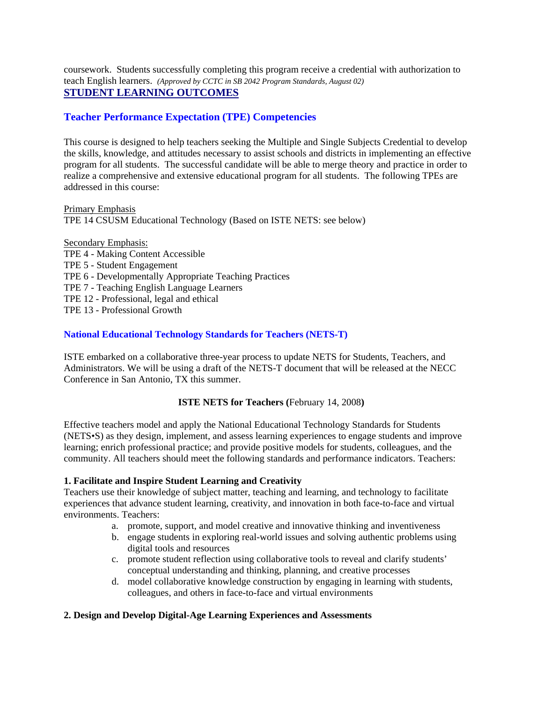coursework. Students successfully completing this program receive a credential with authorization to teach English learners. *(Approved by CCTC in SB 2042 Program Standards, August 02)*  **STUDENT LEARNING OUTCOMES** 

## **Teacher Performance Expectation (TPE) Competencies**

This course is designed to help teachers seeking the Multiple and Single Subjects Credential to develop the skills, knowledge, and attitudes necessary to assist schools and districts in implementing an effective program for all students. The successful candidate will be able to merge theory and practice in order to realize a comprehensive and extensive educational program for all students. The following TPEs are addressed in this course:

Primary Emphasis TPE 14 CSUSM Educational Technology (Based on ISTE NETS: see below)

Secondary Emphasis: TPE 4 - Making Content Accessible TPE 5 - Student Engagement TPE 6 - Developmentally Appropriate Teaching Practices TPE 7 - Teaching English Language Learners TPE 12 - Professional, legal and ethical TPE 13 - Professional Growth

#### **National Educational Technology Standards for Teachers (NETS-T)**

ISTE embarked on a collaborative three-year process to update NETS for Students, Teachers, and Administrators. We will be using a draft of the NETS-T document that will be released at the NECC Conference in San Antonio, TX this summer.

#### **ISTE NETS for Teachers (**February 14, 2008**)**

Effective teachers model and apply the National Educational Technology Standards for Students (NETS•S) as they design, implement, and assess learning experiences to engage students and improve learning; enrich professional practice; and provide positive models for students, colleagues, and the community. All teachers should meet the following standards and performance indicators. Teachers:

#### **1. Facilitate and Inspire Student Learning and Creativity**

Teachers use their knowledge of subject matter, teaching and learning, and technology to facilitate experiences that advance student learning, creativity, and innovation in both face-to-face and virtual environments. Teachers:

- a. promote, support, and model creative and innovative thinking and inventiveness
- b. engage students in exploring real-world issues and solving authentic problems using digital tools and resources
- c. promote student reflection using collaborative tools to reveal and clarify students' conceptual understanding and thinking, planning, and creative processes
- d. model collaborative knowledge construction by engaging in learning with students, colleagues, and others in face-to-face and virtual environments

#### **2. Design and Develop Digital-Age Learning Experiences and Assessments**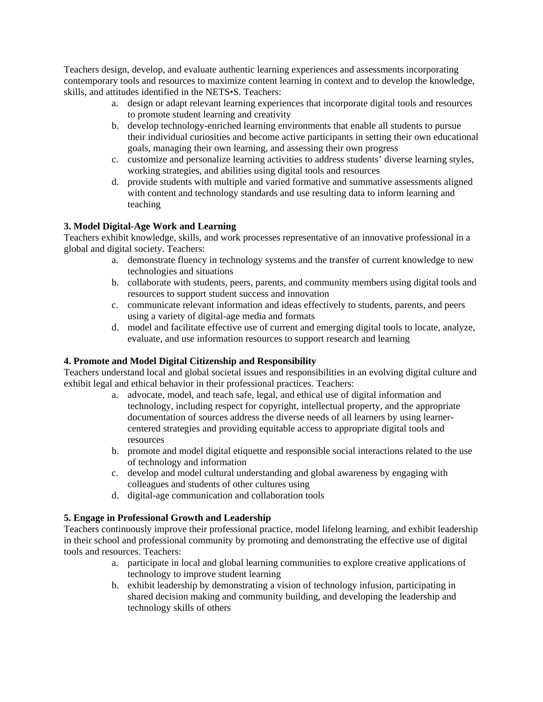Teachers design, develop, and evaluate authentic learning experiences and assessments incorporating contemporary tools and resources to maximize content learning in context and to develop the knowledge, skills, and attitudes identified in the NETS•S. Teachers:

- a. design or adapt relevant learning experiences that incorporate digital tools and resources to promote student learning and creativity
- b. develop technology-enriched learning environments that enable all students to pursue their individual curiosities and become active participants in setting their own educational goals, managing their own learning, and assessing their own progress
- c. customize and personalize learning activities to address students' diverse learning styles, working strategies, and abilities using digital tools and resources
- d. provide students with multiple and varied formative and summative assessments aligned with content and technology standards and use resulting data to inform learning and teaching

#### **3. Model Digital-Age Work and Learning**

Teachers exhibit knowledge, skills, and work processes representative of an innovative professional in a global and digital society. Teachers:

- technologies and situations a. demonstrate fluency in technology systems and the transfer of current knowledge to new
- b. collaborate with students, peers, parents, and community members using digital tools and resources to support student success and innovation
- c. communicate relevant information and ideas effectively to students, parents, and peers using a variety of digital-age media and formats
- d. model and facilitate effective use of current and emerging digital tools to locate, analyze, evaluate, and use information resources to support research and learning

#### **4. Promote and Model Digital Citizenship and Responsibility**

Teachers understand local and global societal issues and responsibilities in an evolving digital culture and exhibit legal and ethical behavior in their professional practices. Teachers:

- a. advocate, model, and teach safe, legal, and ethical use of digital information and technology, including respect for copyright, intellectual property, and the appropriate documentation of sources address the diverse needs of all learners by using learnercentered strategies and providing equitable access to appropriate digital tools and resources
- b. promote and model digital etiquette and responsible social interactions related to the use of technology and information
- c. develop and model cultural understanding and global awareness by engaging with colleagues and students of other cultures using
- d. digital-age communication and collaboration tools

#### **5. Engage in Professional Growth and Leadership**

Teachers continuously improve their professional practice, model lifelong learning, and exhibit leadership in their school and professional community by promoting and demonstrating the effective use of digital tools and resources. Teachers:

- a. participate in local and global learning communities to explore creative applications of technology to improve student learning
- b. exhibit leadership by demonstrating a vision of technology infusion, participating in shared decision making and community building, and developing the leadership and technology skills of others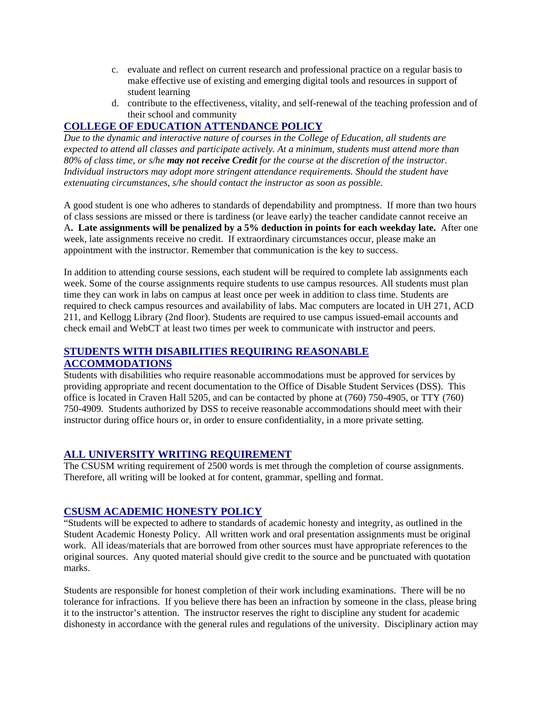- c. evaluate and reflect on current research and professional practice on a regular basis to make effective use of existing and emerging digital tools and resources in support of student learning
- d. contribute to the effectiveness, vitality, and self-renewal of the teaching profession and of their school and community

# **COLLEGE OF EDUCATION ATTENDANCE POLICY**

*Due to the dynamic and interactive nature of courses in the College of Education, all students are expected to attend all classes and participate actively. At a minimum, students must attend more than 80% of class time, or s/he may not receive Credit for the course at the discretion of the instructor. Individual instructors may adopt more stringent attendance requirements. Should the student have extenuating circumstances, s/he should contact the instructor as soon as possible.* 

A good student is one who adheres to standards of dependability and promptness. If more than two hours of class sessions are missed or there is tardiness (or leave early) the teacher candidate cannot receive an A**. Late assignments will be penalized by a 5% deduction in points for each weekday late.** After one week, late assignments receive no credit. If extraordinary circumstances occur, please make an appointment with the instructor. Remember that communication is the key to success.

In addition to attending course sessions, each student will be required to complete lab assignments each week. Some of the course assignments require students to use campus resources. All students must plan time they can work in labs on campus at least once per week in addition to class time. Students are required to check campus resources and availability of labs. Mac computers are located in UH 271, ACD 211, and Kellogg Library (2nd floor). Students are required to use campus issued-email accounts and check email and WebCT at least two times per week to communicate with instructor and peers.

# **STUDENTS WITH DISABILITIES REQUIRING REASONABLE ACCOMMODATIONS**

Students with disabilities who require reasonable accommodations must be approved for services by providing appropriate and recent documentation to the Office of Disable Student Services (DSS). This office is located in Craven Hall 5205, and can be contacted by phone at (760) 750-4905, or TTY (760) 750-4909. Students authorized by DSS to receive reasonable accommodations should meet with their instructor during office hours or, in order to ensure confidentiality, in a more private setting.

# **ALL UNIVERSITY WRITING REQUIREMENT**

The CSUSM writing requirement of 2500 words is met through the completion of course assignments. Therefore, all writing will be looked at for content, grammar, spelling and format.

# **CSUSM ACADEMIC HONESTY POLICY**

"Students will be expected to adhere to standards of academic honesty and integrity, as outlined in the Student Academic Honesty Policy. All written work and oral presentation assignments must be original work. All ideas/materials that are borrowed from other sources must have appropriate references to the original sources. Any quoted material should give credit to the source and be punctuated with quotation marks.

Students are responsible for honest completion of their work including examinations. There will be no tolerance for infractions. If you believe there has been an infraction by someone in the class, please bring it to the instructor's attention. The instructor reserves the right to discipline any student for academic dishonesty in accordance with the general rules and regulations of the university. Disciplinary action may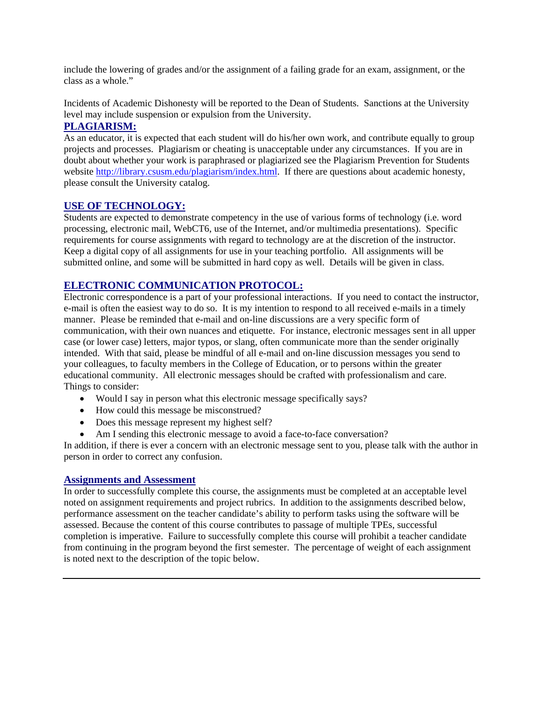include the lowering of grades and/or the assignment of a failing grade for an exam, assignment, or the class as a whole."

Incidents of Academic Dishonesty will be reported to the Dean of Students. Sanctions at the University level may include suspension or expulsion from the University.

## **PLAGIARISM:**

As an educator, it is expected that each student will do his/her own work, and contribute equally to group projects and processes. Plagiarism or cheating is unacceptable under any circumstances. If you are in doubt about whether your work is paraphrased or plagiarized see the Plagiarism Prevention for Students website http://library.csusm.edu/plagiarism/index.html. If there are questions about academic honesty, please consult the University catalog.

## **USE OF TECHNOLOGY:**

Students are expected to demonstrate competency in the use of various forms of technology (i.e. word processing, electronic mail, WebCT6, use of the Internet, and/or multimedia presentations). Specific requirements for course assignments with regard to technology are at the discretion of the instructor. Keep a digital copy of all assignments for use in your teaching portfolio. All assignments will be submitted online, and some will be submitted in hard copy as well. Details will be given in class.

# **ELECTRONIC COMMUNICATION PROTOCOL:**

Electronic correspondence is a part of your professional interactions. If you need to contact the instructor, e-mail is often the easiest way to do so. It is my intention to respond to all received e-mails in a timely manner. Please be reminded that e-mail and on-line discussions are a very specific form of communication, with their own nuances and etiquette. For instance, electronic messages sent in all upper case (or lower case) letters, major typos, or slang, often communicate more than the sender originally intended. With that said, please be mindful of all e-mail and on-line discussion messages you send to your colleagues, to faculty members in the College of Education, or to persons within the greater educational community. All electronic messages should be crafted with professionalism and care. Things to consider:

- Would I say in person what this electronic message specifically says?
- How could this message be misconstrued?
- Does this message represent my highest self?
- Am I sending this electronic message to avoid a face-to-face conversation?

In addition, if there is ever a concern with an electronic message sent to you, please talk with the author in person in order to correct any confusion.

#### **Assignments and Assessment**

In order to successfully complete this course, the assignments must be completed at an acceptable level noted on assignment requirements and project rubrics. In addition to the assignments described below, performance assessment on the teacher candidate's ability to perform tasks using the software will be assessed. Because the content of this course contributes to passage of multiple TPEs, successful completion is imperative. Failure to successfully complete this course will prohibit a teacher candidate from continuing in the program beyond the first semester. The percentage of weight of each assignment is noted next to the description of the topic below.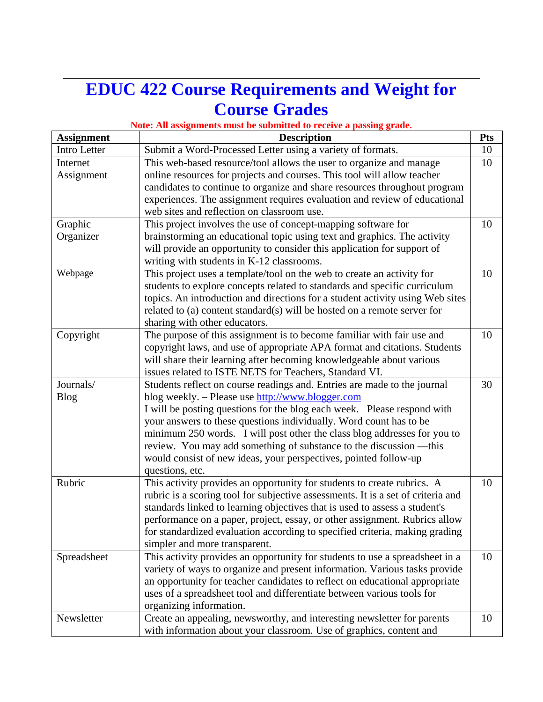# **EDUC 422 Course Requirements and Weight for Course Grades**

# **Note: All assignments must be submitted to receive a passing grade.**

| <b>Assignment</b> | <b>Description</b><br><b>Pts</b>                                                 |    |  |  |
|-------------------|----------------------------------------------------------------------------------|----|--|--|
| Intro Letter      | Submit a Word-Processed Letter using a variety of formats.                       | 10 |  |  |
| Internet          | This web-based resource/tool allows the user to organize and manage<br>10        |    |  |  |
| Assignment        | online resources for projects and courses. This tool will allow teacher          |    |  |  |
|                   | candidates to continue to organize and share resources throughout program        |    |  |  |
|                   | experiences. The assignment requires evaluation and review of educational        |    |  |  |
|                   | web sites and reflection on classroom use.                                       |    |  |  |
| Graphic           | This project involves the use of concept-mapping software for<br>10              |    |  |  |
| Organizer         | brainstorming an educational topic using text and graphics. The activity         |    |  |  |
|                   | will provide an opportunity to consider this application for support of          |    |  |  |
|                   | writing with students in K-12 classrooms.                                        |    |  |  |
| Webpage           | This project uses a template/tool on the web to create an activity for           |    |  |  |
|                   | students to explore concepts related to standards and specific curriculum        |    |  |  |
|                   | topics. An introduction and directions for a student activity using Web sites    |    |  |  |
|                   | related to (a) content standard(s) will be hosted on a remote server for         |    |  |  |
|                   | sharing with other educators.                                                    |    |  |  |
| Copyright         | The purpose of this assignment is to become familiar with fair use and           | 10 |  |  |
|                   | copyright laws, and use of appropriate APA format and citations. Students        |    |  |  |
|                   | will share their learning after becoming knowledgeable about various             |    |  |  |
|                   | issues related to ISTE NETS for Teachers, Standard VI.                           |    |  |  |
| Journals/         | Students reflect on course readings and. Entries are made to the journal         | 30 |  |  |
| <b>Blog</b>       | blog weekly. – Please use http://www.blogger.com                                 |    |  |  |
|                   | I will be posting questions for the blog each week. Please respond with          |    |  |  |
|                   | your answers to these questions individually. Word count has to be               |    |  |  |
|                   | minimum 250 words. I will post other the class blog addresses for you to         |    |  |  |
|                   | review. You may add something of substance to the discussion -- this             |    |  |  |
|                   | would consist of new ideas, your perspectives, pointed follow-up                 |    |  |  |
|                   | questions, etc.                                                                  |    |  |  |
| Rubric            | This activity provides an opportunity for students to create rubrics. A          | 10 |  |  |
|                   | rubric is a scoring tool for subjective assessments. It is a set of criteria and |    |  |  |
|                   | standards linked to learning objectives that is used to assess a student's       |    |  |  |
|                   | performance on a paper, project, essay, or other assignment. Rubrics allow       |    |  |  |
|                   | for standardized evaluation according to specified criteria, making grading      |    |  |  |
|                   | simpler and more transparent.                                                    |    |  |  |
| Spreadsheet       | This activity provides an opportunity for students to use a spreadsheet in a     | 10 |  |  |
|                   | variety of ways to organize and present information. Various tasks provide       |    |  |  |
|                   | an opportunity for teacher candidates to reflect on educational appropriate      |    |  |  |
|                   | uses of a spreadsheet tool and differentiate between various tools for           |    |  |  |
|                   | organizing information.                                                          |    |  |  |
| Newsletter        | Create an appealing, newsworthy, and interesting newsletter for parents          | 10 |  |  |
|                   | with information about your classroom. Use of graphics, content and              |    |  |  |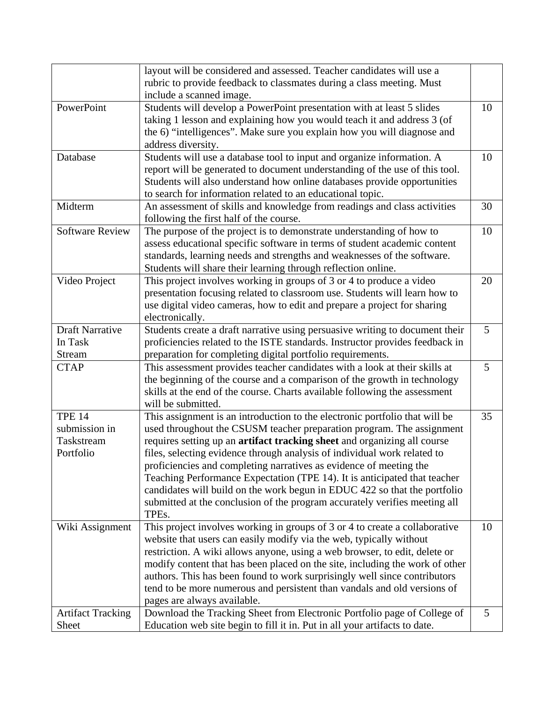|                          | layout will be considered and assessed. Teacher candidates will use a        |    |  |
|--------------------------|------------------------------------------------------------------------------|----|--|
|                          | rubric to provide feedback to classmates during a class meeting. Must        |    |  |
|                          | include a scanned image.                                                     |    |  |
| PowerPoint               | Students will develop a PowerPoint presentation with at least 5 slides       |    |  |
|                          | taking 1 lesson and explaining how you would teach it and address 3 (of      |    |  |
|                          | the 6) "intelligences". Make sure you explain how you will diagnose and      |    |  |
|                          | address diversity.                                                           |    |  |
| Database                 | Students will use a database tool to input and organize information. A       |    |  |
|                          | report will be generated to document understanding of the use of this tool.  | 10 |  |
|                          | Students will also understand how online databases provide opportunities     |    |  |
|                          | to search for information related to an educational topic.                   |    |  |
| Midterm                  |                                                                              | 30 |  |
|                          | An assessment of skills and knowledge from readings and class activities     |    |  |
|                          | following the first half of the course.                                      |    |  |
| <b>Software Review</b>   | The purpose of the project is to demonstrate understanding of how to         | 10 |  |
|                          | assess educational specific software in terms of student academic content    |    |  |
|                          | standards, learning needs and strengths and weaknesses of the software.      |    |  |
|                          | Students will share their learning through reflection online.                |    |  |
| Video Project            | This project involves working in groups of 3 or 4 to produce a video         | 20 |  |
|                          | presentation focusing related to classroom use. Students will learn how to   |    |  |
|                          | use digital video cameras, how to edit and prepare a project for sharing     |    |  |
|                          | electronically.                                                              |    |  |
| <b>Draft Narrative</b>   | Students create a draft narrative using persuasive writing to document their | 5  |  |
| In Task                  | proficiencies related to the ISTE standards. Instructor provides feedback in |    |  |
| Stream                   | preparation for completing digital portfolio requirements.                   |    |  |
| <b>CTAP</b>              | This assessment provides teacher candidates with a look at their skills at   | 5  |  |
|                          | the beginning of the course and a comparison of the growth in technology     |    |  |
|                          | skills at the end of the course. Charts available following the assessment   |    |  |
|                          | will be submitted.                                                           |    |  |
| <b>TPE 14</b>            | This assignment is an introduction to the electronic portfolio that will be  | 35 |  |
| submission in            | used throughout the CSUSM teacher preparation program. The assignment        |    |  |
| Taskstream               | requires setting up an artifact tracking sheet and organizing all course     |    |  |
| Portfolio                | files, selecting evidence through analysis of individual work related to     |    |  |
|                          | proficiencies and completing narratives as evidence of meeting the           |    |  |
|                          | Teaching Performance Expectation (TPE 14). It is anticipated that teacher    |    |  |
|                          |                                                                              |    |  |
|                          | candidates will build on the work begun in EDUC 422 so that the portfolio    |    |  |
|                          | submitted at the conclusion of the program accurately verifies meeting all   |    |  |
|                          | TPEs.                                                                        |    |  |
| Wiki Assignment          | This project involves working in groups of 3 or 4 to create a collaborative  | 10 |  |
|                          | website that users can easily modify via the web, typically without          |    |  |
|                          | restriction. A wiki allows anyone, using a web browser, to edit, delete or   |    |  |
|                          | modify content that has been placed on the site, including the work of other |    |  |
|                          | authors. This has been found to work surprisingly well since contributors    |    |  |
|                          | tend to be more numerous and persistent than vandals and old versions of     |    |  |
|                          | pages are always available.                                                  |    |  |
| <b>Artifact Tracking</b> | Download the Tracking Sheet from Electronic Portfolio page of College of     | 5  |  |
| Sheet                    | Education web site begin to fill it in. Put in all your artifacts to date.   |    |  |